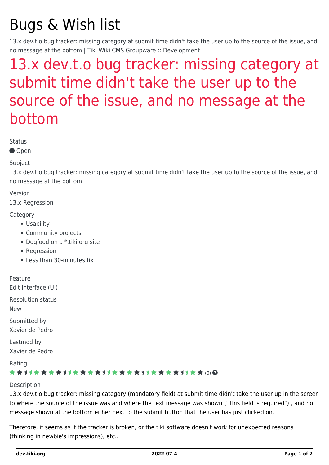# Bugs & Wish list

13.x dev.t.o bug tracker: missing category at submit time didn't take the user up to the source of the issue, and no message at the bottom | Tiki Wiki CMS Groupware :: Development

## [13.x dev.t.o bug tracker: missing category at](https://dev.tiki.org/item5483-13-x-dev-t-o-bug-tracker-missing-category-at-submit-time-didn-t-take-the-user-up-to-the-source-of-the-issue-and-no-message-at-the-bottom) [submit time didn't take the user up to the](https://dev.tiki.org/item5483-13-x-dev-t-o-bug-tracker-missing-category-at-submit-time-didn-t-take-the-user-up-to-the-source-of-the-issue-and-no-message-at-the-bottom) [source of the issue, and no message at the](https://dev.tiki.org/item5483-13-x-dev-t-o-bug-tracker-missing-category-at-submit-time-didn-t-take-the-user-up-to-the-source-of-the-issue-and-no-message-at-the-bottom) [bottom](https://dev.tiki.org/item5483-13-x-dev-t-o-bug-tracker-missing-category-at-submit-time-didn-t-take-the-user-up-to-the-source-of-the-issue-and-no-message-at-the-bottom)

Status

● Open

#### Subject

13.x dev.t.o bug tracker: missing category at submit time didn't take the user up to the source of the issue, and no message at the bottom

#### Version

13.x Regression

#### **Category**

- Usability
- Community projects
- Dogfood on a \*.tiki.org site
- Regression
- Less than 30-minutes fix

Feature Edit interface (UI)

Resolution status New

Submitted by Xavier de Pedro

Lastmod by Xavier de Pedro

Rating

#### \*\*\*\*\*\*\*\*\*\*\*\*\*\*\*\*\*\*\*\*\*\*\*\*\*\*\*\*\*\*

#### Description

13.x dev.t.o bug tracker: missing category (mandatory field) at submit time didn't take the user up in the screen to where the source of the issue was and where the text message was shown ("This field is required") , and no message shown at the bottom either next to the submit button that the user has just clicked on.

Therefore, it seems as if the tracker is broken, or the tiki software doesn't work for unexpected reasons (thinking in newbie's impressions), etc..